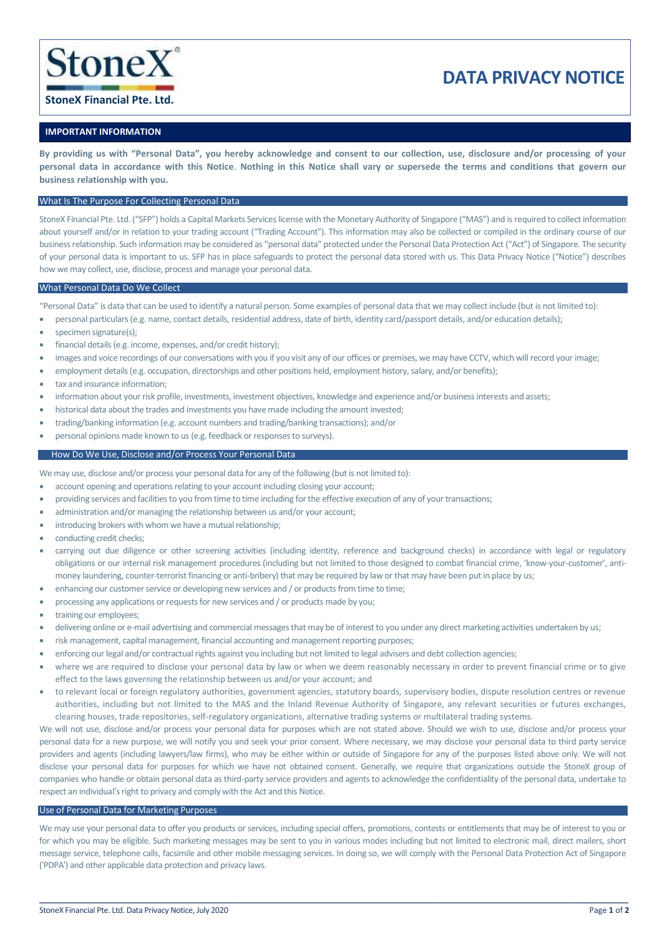

# **DATA PRIVACY NOTICE**

## **StoneX Financial Pte. Ltd.**

## **IMPORTANT INFORMATION**

**By providing us with "Personal Data", you hereby acknowledge and consent to our collection, use, disclosure and/or processing of your personal data in accordance with this Notice**. **Nothing in this Notice shall vary or supersede the terms and conditions that govern our business relationship with you.**

## What Is The Purpose For Collecting Personal Data

StoneX Financial Pte. Ltd. ("SFP") holds a Capital Markets Services license with the Monetary Authority of Singapore ("MAS") and is required to collect information about yourself and/or in relation to your trading account ("Trading Account"). This information may also be collected or compiled in the ordinary course of our business relationship. Such information may be considered as "personal data" protected under the Personal Data Protection Act ("Act") of Singapore. The security of your personal data is important to us. SFP has in place safeguards to protect the personal data stored with us. This Data Privacy Notice ("Notice") describes how we may collect, use, disclose, process and manage your personal data.

## What Personal Data Do We Collect

"Personal Data" is data that can be used to identify a natural person. Some examples of personal data that we may collect include (but is not limited to):

- personal particulars (e.g. name, contact details, residential address, date of birth, identity card/passport details, and/or education details);
- specimen signature(s):
- financial details (e.g. income, expenses, and/or credit history);
- images and voice recordings of our conversations with you if you visit any of our offices or premises, we may have CCTV, which will record your image;
- employment details (e.g. occupation, directorships and other positions held, employment history, salary, and/or benefits);
- tax and insurance information:
- information about your risk profile, investments, investment objectives, knowledge and experience and/or business interests and assets;
- historical data about the trades and investments you have made including the amount invested;
- trading/banking information (e.g. account numbers and trading/banking transactions); and/or
- personal opinions made known to us (e.g. feedback or responses to surveys).

## How Do We Use, Disclose and/or Process Your Personal Data

We may use, disclose and/or process your personal data for any of the following (but is not limited to):

- account opening and operations relating to your account including closing your account;
- providing services and facilities to you from time to time including for the effective execution of any of your transactions;
- administration and/or managing the relationship between us and/or your account;
- introducing brokers with whom we have a mutual relationship;
- conducting credit checks:
- carrying out due diligence or other screening activities (including identity, reference and background checks) in accordance with legal or regulatory obligations or our internal risk management procedures (including but not limited to those designed to combat financial crime, 'know-your-customer', antimoney laundering, counter-terrorist financing or anti-bribery) that may be required by law or that may have been put in place by us;
- enhancing our customer service or developing new services and / or products from time to time;
- processing any applications or requests for new services and / or products made by you;
- training our employees;
- delivering online or e-mail advertising and commercial messages that may be of interest to you under any direct marketing activities undertaken by us;
- risk management, capital management, financial accounting and management reporting purposes;
- enforcing our legal and/or contractual rights against you including but not limited to legal advisers and debt collection agencies;
- where we are required to disclose your personal data by law or when we deem reasonably necessary in order to prevent financial crime or to give effect to the laws governing the relationship between us and/or your account; and
- to relevant local or foreign regulatory authorities, government agencies, statutory boards, supervisory bodies, dispute resolution centres or revenue authorities, including but not limited to the MAS and the Inland Revenue Authority of Singapore, any relevant securities or futures exchanges, clearing houses, trade repositories, self-regulatory organizations, alternative trading systems or multilateral trading systems.

We will not use, disclose and/or process your personal data for purposes which are not stated above. Should we wish to use, disclose and/or process your personal data for a new purpose, we will notify you and seek your prior consent. Where necessary, we may disclose your personal data to third party service providers and agents (including lawyers/law firms), who may be either within or outside of Singapore for any of the purposes listed above only. We will not disclose your personal data for purposes for which we have not obtained consent. Generally, we require that organizations outside the StoneX group of companies who handle or obtain personal data as third-party service providers and agents to acknowledge the confidentiality of the personal data, undertake to respect an individual's right to privacy and comply with the Act and this Notice.

## Use of Personal Data for Marketing Purposes

We may use your personal data to offer you products or services, including special offers, promotions, contests or entitlements that may be of interest to you or for which you may be eligible. Such marketing messages may be sent to you in various modes including but not limited to electronic mail, direct mailers, short message service, telephone calls, facsimile and other mobile messaging services. In doing so, we will comply with the Personal Data Protection Act of Singapore ('PDPA') and other applicable data protection and privacy laws.

**\_\_\_\_\_\_\_\_\_\_\_\_\_\_\_\_\_\_\_\_\_\_\_\_\_\_\_\_\_\_\_\_\_\_\_\_\_\_\_\_\_\_\_\_\_\_\_\_\_\_\_\_\_\_\_\_\_\_\_\_\_\_\_\_\_\_\_\_\_\_\_\_\_\_\_\_\_\_\_\_\_\_\_\_\_\_\_\_\_\_\_\_\_\_\_\_\_\_\_\_\_\_\_\_\_\_\_\_\_\_\_\_\_\_\_\_\_\_\_\_\_\_\_\_\_\_\_\_\_\_\_\_\_**